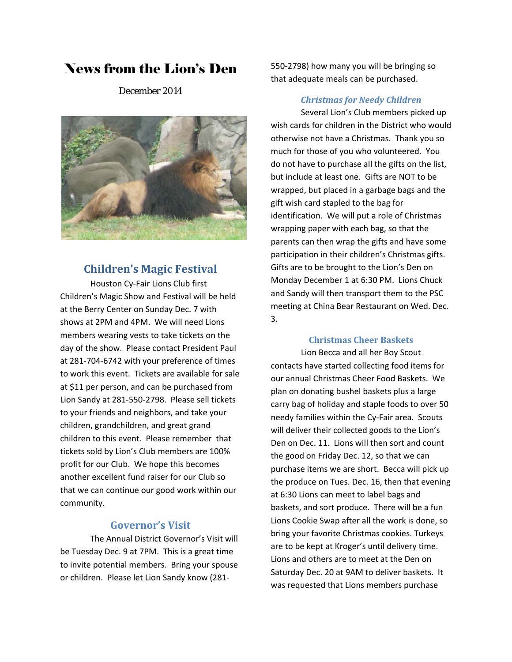# News from the Lion's Den

December 2014



## **Children's Magic Festival**

Houston Cy‐Fair Lions Club first Children's Magic Show and Festival will be held at the Berry Center on Sunday Dec. 7 with shows at 2PM and 4PM. We will need Lions members wearing vests to take tickets on the day of the show. Please contact President Paul at 281‐704‐6742 with your preference of times to work this event. Tickets are available for sale at \$11 per person, and can be purchased from Lion Sandy at 281‐550‐2798. Please sell tickets to your friends and neighbors, and take your children, grandchildren, and great grand children to this event. Please remember that tickets sold by Lion's Club members are 100% profit for our Club. We hope this becomes another excellent fund raiser for our Club so that we can continue our good work within our community.

### **Governor's Visit**

The Annual District Governor's Visit will be Tuesday Dec. 9 at 7PM. This is a great time to invite potential members. Bring your spouse or children. Please let Lion Sandy know (281‐

550‐2798) how many you will be bringing so that adequate meals can be purchased.

#### *Christmas for Needy Children*

Several Lion's Club members picked up wish cards for children in the District who would otherwise not have a Christmas. Thank you so much for those of you who volunteered. You do not have to purchase all the gifts on the list, but include at least one. Gifts are NOT to be wrapped, but placed in a garbage bags and the gift wish card stapled to the bag for identification. We will put a role of Christmas wrapping paper with each bag, so that the parents can then wrap the gifts and have some participation in their children's Christmas gifts. Gifts are to be brought to the Lion's Den on Monday December 1 at 6:30 PM. Lions Chuck and Sandy will then transport them to the PSC meeting at China Bear Restaurant on Wed. Dec. 3.

#### **Christmas Cheer Baskets**

Lion Becca and all her Boy Scout contacts have started collecting food items for our annual Christmas Cheer Food Baskets. We plan on donating bushel baskets plus a large carry bag of holiday and staple foods to over 50 needy families within the Cy‐Fair area. Scouts will deliver their collected goods to the Lion's Den on Dec. 11. Lions will then sort and count the good on Friday Dec. 12, so that we can purchase items we are short. Becca will pick up the produce on Tues. Dec. 16, then that evening at 6:30 Lions can meet to label bags and baskets, and sort produce. There will be a fun Lions Cookie Swap after all the work is done, so bring your favorite Christmas cookies. Turkeys are to be kept at Kroger's until delivery time. Lions and others are to meet at the Den on Saturday Dec. 20 at 9AM to deliver baskets. It was requested that Lions members purchase